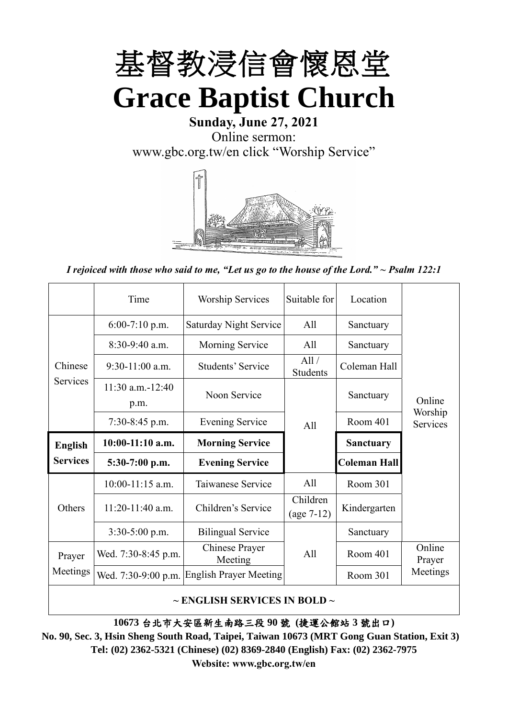

# **Sunday, June 27, 2021** Online sermon: [www.gbc.org.tw/en](http://www.gbc.org.tw/en) click "Worship Service"



*I rejoiced with those who said to me, "Let us go to the house of the Lord." ~ Psalm 122:1*

|                 | Time                          | <b>Worship Services</b>       | Suitable for             | Location            |                     |
|-----------------|-------------------------------|-------------------------------|--------------------------|---------------------|---------------------|
|                 | $6:00-7:10$ p.m.              | <b>Saturday Night Service</b> | All                      | Sanctuary           |                     |
|                 | $8:30-9:40$ a.m.              | <b>Morning Service</b>        | A11                      | Sanctuary           |                     |
| Chinese         | $9:30-11:00$ a.m.             | Students' Service             | All/<br>Students         | Coleman Hall        |                     |
| Services        | $11:30$ a.m. $-12:40$<br>p.m. | Noon Service                  |                          | Sanctuary           | Online              |
|                 | $7:30-8:45$ p.m.              | <b>Evening Service</b>        | A11                      | Room 401            | Worship<br>Services |
| <b>English</b>  | $10:00-11:10$ a.m.            | <b>Morning Service</b>        |                          | <b>Sanctuary</b>    |                     |
|                 |                               |                               |                          |                     |                     |
| <b>Services</b> | $5:30-7:00$ p.m.              | <b>Evening Service</b>        |                          | <b>Coleman Hall</b> |                     |
|                 | $10:00-11:15$ a.m.            | Taiwanese Service             | A11                      | Room 301            |                     |
| Others          | $11:20-11:40$ a.m.            | Children's Service            | Children<br>$(age 7-12)$ | Kindergarten        |                     |
|                 | $3:30-5:00$ p.m.              | <b>Bilingual Service</b>      |                          | Sanctuary           |                     |
| Prayer          | Wed. 7:30-8:45 p.m.           | Chinese Prayer<br>Meeting     | A <sup>11</sup>          | Room 401            | Online<br>Prayer    |
| Meetings        | Wed. 7:30-9:00 p.m.           | <b>English Prayer Meeting</b> |                          | Room 301            | Meetings            |

**~ ENGLISH SERVICES IN BOLD ~**

**10673** 台北市大安區新生南路三段 **90** 號 **(**捷運公館站 **3** 號出口**)**

**No. 90, Sec. 3, Hsin Sheng South Road, Taipei, Taiwan 10673 (MRT Gong Guan Station, Exit 3) Tel: (02) 2362-5321 (Chinese) (02) 8369-2840 (English) Fax: (02) 2362-7975 Website: www.gbc.org.tw/en**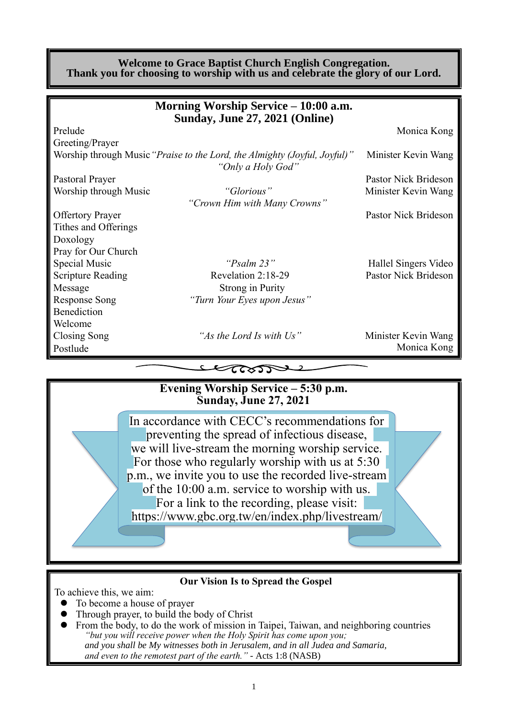#### **Welcome to Grace Baptist Church English Congregation. Thank you for choosing to worship with us and celebrate the glory of our Lord.**

|                          | Morning Worship Service – 10:00 a.m.                                                           |                      |
|--------------------------|------------------------------------------------------------------------------------------------|----------------------|
|                          | Sunday, June 27, 2021 (Online)                                                                 |                      |
| Prelude                  |                                                                                                | Monica Kong          |
| Greeting/Prayer          |                                                                                                |                      |
|                          | Worship through Music "Praise to the Lord, the Almighty (Joyful, Joyful)"<br>"Only a Holy God" | Minister Kevin Wang  |
| Pastoral Prayer          |                                                                                                | Pastor Nick Brideson |
| Worship through Music    | "Glorious"                                                                                     | Minister Kevin Wang  |
|                          | "Crown Him with Many Crowns"                                                                   |                      |
| <b>Offertory Prayer</b>  |                                                                                                | Pastor Nick Brideson |
| Tithes and Offerings     |                                                                                                |                      |
| Doxology                 |                                                                                                |                      |
| Pray for Our Church      |                                                                                                |                      |
| Special Music            | " $P_{Salm}$ 23"                                                                               | Hallel Singers Video |
| <b>Scripture Reading</b> | Revelation 2:18-29                                                                             | Pastor Nick Brideson |
| Message                  | <b>Strong in Purity</b>                                                                        |                      |
| <b>Response Song</b>     | "Turn Your Eyes upon Jesus"                                                                    |                      |
| Benediction              |                                                                                                |                      |
| Welcome                  |                                                                                                |                      |
| <b>Closing Song</b>      | "As the Lord Is with Us"                                                                       | Minister Kevin Wang  |
| Postlude                 |                                                                                                | Monica Kong          |
|                          |                                                                                                |                      |
|                          | LettosTV                                                                                       |                      |
|                          | Evening Worship Service - 5:30 p.m.                                                            |                      |
|                          | <b>Sunday, June 27, 2021</b>                                                                   |                      |
|                          | In accordance with CECC's recommendations for                                                  |                      |
|                          | preventing the spread of infectious disease,                                                   |                      |
|                          | we will live-stream the morning worship service.                                               |                      |
|                          |                                                                                                |                      |
|                          | For those who regularly worship with us at $5:30$                                              |                      |
|                          | p.m., we invite you to use the recorded live-stream                                            |                      |
|                          | of the 10:00 a.m. service to worship with us.                                                  |                      |
|                          | For a link to the recording, please visit:                                                     |                      |
|                          | https://www.gbc.org.tw/en/index.php/livestream/                                                |                      |
|                          |                                                                                                |                      |
|                          |                                                                                                |                      |

#### **Our Vision Is to Spread the Gospel**

To achieve this, we aim:

- ⚫ To become a house of prayer
- ⚫ Through prayer, to build the body of Christ
- ⚫ From the body, to do the work of mission in Taipei, Taiwan, and neighboring countries *"but you will receive power when the Holy Spirit has come upon you; and you shall be My witnesses both in Jerusalem, and in all Judea and Samaria, and even to the remotest part of the earth." -* Acts 1:8 (NASB)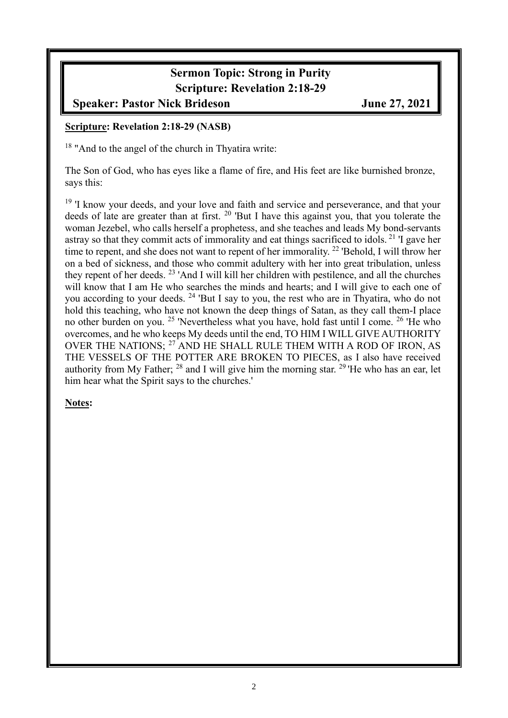# **Sermon Topic: Strong in Purity Scripture: Revelation 2:18-29**

## **Speaker: Pastor Nick Brideson June 27, 2021**

### **Scripture: Revelation 2:18-29 (NASB)**

<sup>18</sup> "And to the angel of the church in Thyatira write:

The Son of God, who has eyes like a flame of fire, and His feet are like burnished bronze, says this:

<sup>19</sup> 'I know your deeds, and your love and faith and service and perseverance, and that your deeds of late are greater than at first. <sup>20</sup> 'But I have this against you, that you tolerate the woman Jezebel, who calls herself a prophetess, and she teaches and leads My bond-servants astray so that they commit acts of immorality and eat things sacrificed to idols. <sup>21</sup> 'I gave her time to repent, and she does not want to repent of her immorality. <sup>22</sup> 'Behold, I will throw her on a bed of sickness, and those who commit adultery with her into great tribulation, unless they repent of her deeds. <sup>23</sup> 'And I will kill her children with pestilence, and all the churches will know that I am He who searches the minds and hearts; and I will give to each one of you according to your deeds. <sup>24</sup> 'But I say to you, the rest who are in Thyatira, who do not hold this teaching, who have not known the deep things of Satan, as they call them-I place no other burden on you. <sup>25</sup> 'Nevertheless what you have, hold fast until I come. <sup>26</sup> 'He who overcomes, and he who keeps My deeds until the end, TO HIM I WILL GIVE AUTHORITY OVER THE NATIONS; <sup>27</sup> AND HE SHALL RULE THEM WITH A ROD OF IRON, AS THE VESSELS OF THE POTTER ARE BROKEN TO PIECES, as I also have received authority from My Father;  $^{28}$  and I will give him the morning star.  $^{29}$  He who has an ear, let him hear what the Spirit says to the churches.'

**Notes:**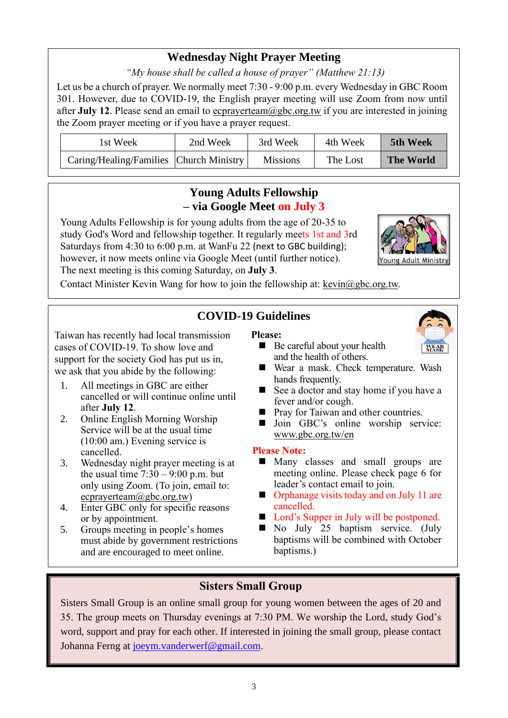## **Wednesday Night Prayer Meeting**

*"My house shall be called a house of prayer" (Matthew 21:13)*

Let us be a church of prayer. We normally meet 7:30 - 9:00 p.m. every Wednesday in GBC Room 301. However, due to COVID-19, the English prayer meeting will use Zoom from now until after **July 12**. Please send an email to ecprayerteam@gbc.org.tw if you are interested in joining the Zoom prayer meeting or if you have a prayer request.

| 1st Week                                | 2nd Week | 3rd Week        | 4th Week | 5th Week         |
|-----------------------------------------|----------|-----------------|----------|------------------|
| Caring/Healing/Families Church Ministry |          | <b>Missions</b> | The Lost | <b>The World</b> |

## **Young Adults Fellowship – via Google Meet on July 3**

Young Adults Fellowship is for young adults from the age of 20-35 to study God's Word and fellowship together. It regularly meets 1st and 3rd Saturdays from 4:30 to 6:00 p.m. at WanFu 22 (next to GBC building); however, it now meets online via Google Meet (until further notice). The next meeting is this coming Saturday, on **July 3**.



Contact Minister Kevin Wang for how to join the fellowship at: [kevin@gbc.org.tw.](mailto:kevin@gbc.org.tw)

# **COVID-19 Guidelines**

Taiwan has recently had local transmission cases of COVID-19. To show love and support for the society God has put us in, we ask that you abide by the following:

- 1. All meetings in GBC are either cancelled or will continue online until after **July 12**.
- 2. Online English Morning Worship Service will be at the usual time (10:00 am.) Evening service is cancelled.
- 3. Wednesday night prayer meeting is at the usual time  $7:30 - 9:00$  p.m. but only using Zoom. (To join, email to: ecprayerteam@gbc.org.tw)
- 4. Enter GBC only for specific reasons or by appointment.
- 5. Groups meeting in people's homes must abide by government restrictions and are encouraged to meet online.

## **Please:**



- Be careful about your health and the health of others.
- Wear a mask. Check temperature. Wash hands frequently.
- See a doctor and stay home if you have a fever and/or cough.
- Pray for Taiwan and other countries.
- Join GBC's online worship service: www.gbc.org.tw/en

#### **Please Note:**

- Many classes and small groups are meeting online. Please check page 6 for leader's contact email to join.
- Orphanage visits today and on July 11 are cancelled.
- Lord's Supper in July will be postponed.
- No July 25 baptism service. (July baptisms will be combined with October baptisms.)

## **Sisters Small Group**

Sisters Small Group is an online small group for young women between the ages of 20 and 35. The group meets on Thursday evenings at 7:30 PM. We worship the Lord, study God's word, support and pray for each other. If interested in joining the small group, please contact Johanna Ferng at [joeym.vanderwerf@gmail.com.](mailto:joeym.vanderwerf@gmail.com)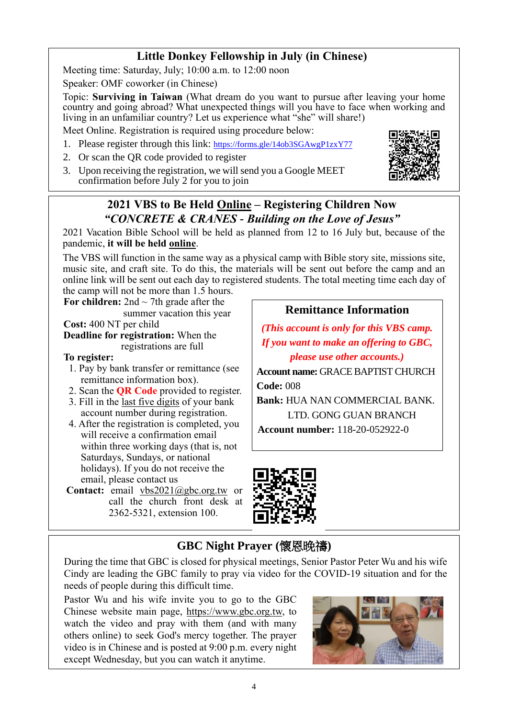## **Little Donkey Fellowship in July (in Chinese)**

Meeting time: Saturday, July; 10:00 a.m. to 12:00 noon

Speaker: OMF coworker (in Chinese)

Topic: **Surviving in Taiwan** (What dream do you want to pursue after leaving your home country and going abroad? What unexpected things will you have to face when working and living in an unfamiliar country? Let us experience what "she" will share!)

Meet Online. Registration is required using procedure below:

- 1. Please register through this link: <https://forms.gle/14ob3SGAwgP1zxY77>
- 2. Or scan the QR code provided to register
- 3. Upon receiving the registration, we will send you a Google MEET confirmation before July 2 for you to join



## **2021 VBS to Be Held Online – Registering Children Now** *"CONCRETE & CRANES - Building on the Love of Jesus"*

2021 Vacation Bible School will be held as planned from 12 to 16 July but, because of the pandemic, **it will be held online**.

The VBS will function in the same way as a physical camp with Bible story site, missions site, music site, and craft site. To do this, the materials will be sent out before the camp and an online link will be sent out each day to registered students. The total meeting time each day of the camp will not be more than 1.5 hours.

**For children:** 2nd ~ 7th grade after the summer vacation this year

**Cost:** 400 NT per child **Deadline for registration:** When the registrations are full

### **To register:**

- 1. Pay by bank transfer or remittance (see remittance information box).
- 2. Scan the **QR Code** provided to register.
- 3. Fill in the last five digits of your bank account number during registration.
- 4. After the registration is completed, you will receive a confirmation email within three working days (that is, not Saturdays, Sundays, or national holidays). If you do not receive the email, please contact us
- **Contact:** email vbs2021@gbc.org.tw or call the church front desk at 2362-5321, extension 100.

## **Remittance Information**

*(This account is only for this VBS camp. If you want to make an offering to GBC, please use other accounts.)*

**Account name:** GRACE BAPTIST CHURCH **Code:** 008

**Bank:** HUA NAN COMMERCIAL BANK. LTD. GONG GUAN BRANCH

**Account number:** 118-20-052922-0



# **GBC Night Prayer (**懷恩晚禱**)**

During the time that GBC is closed for physical meetings, Senior Pastor Peter Wu and his wife Cindy are leading the GBC family to pray via video for the COVID-19 situation and for the needs of people during this difficult time.

Pastor Wu and his wife invite you to go to the GBC Chinese website main page, https://www.gbc.org.tw, to watch the video and pray with them (and with many others online) to seek God's mercy together. The prayer video is in Chinese and is posted at 9:00 p.m. every night except Wednesday, but you can watch it anytime.

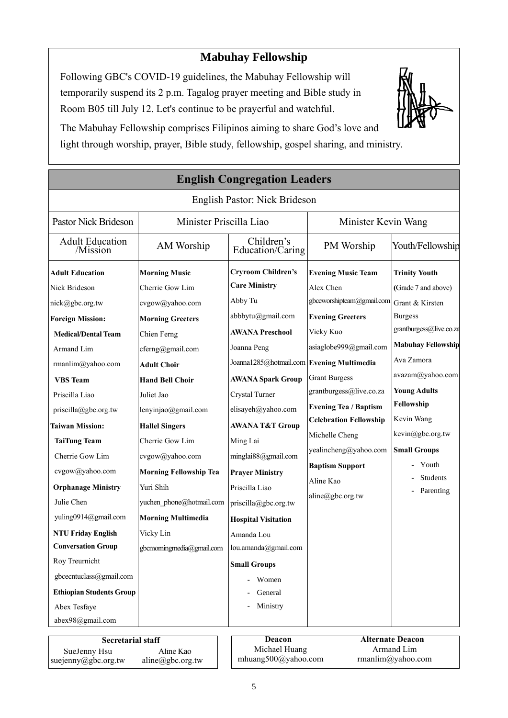## **Mabuhay Fellowship**

Following GBC's COVID-19 guidelines, the Mabuhay Fellowship will temporarily suspend its 2 p.m. Tagalog prayer meeting and Bible study in Room B05 till July 12. Let's continue to be prayerful and watchful.



The Mabuhay Fellowship comprises Filipinos aiming to share God's love and light through worship, prayer, Bible study, fellowship, gospel sharing, and ministry.

|                                 |                               | <b>English Congregation Leaders</b>       |                               |                           |
|---------------------------------|-------------------------------|-------------------------------------------|-------------------------------|---------------------------|
|                                 |                               | English Pastor: Nick Brideson             |                               |                           |
| Pastor Nick Brideson            | Minister Priscilla Liao       |                                           | Minister Kevin Wang           |                           |
| Adult Education<br>/Mission     | AM Worship                    | Children's<br>Education/Caring            | PM Worship                    | Youth/Fellowship          |
| <b>Adult Education</b>          | <b>Morning Music</b>          | <b>Cryroom Children's</b>                 | <b>Evening Music Team</b>     | <b>Trinity Youth</b>      |
| Nick Brideson                   | Cherrie Gow Lim               | <b>Care Ministry</b>                      | Alex Chen                     | (Grade 7 and above)       |
| nick@gbc.org.tw                 | cvgow@yahoo.com               | Abby Tu                                   | gbceworshipteam@gmail.com     | Grant & Kirsten           |
| <b>Foreign Mission:</b>         | <b>Morning Greeters</b>       | abbbytu@gmail.com                         | <b>Evening Greeters</b>       | <b>Burgess</b>            |
| <b>Medical/Dental Team</b>      | Chien Ferng                   | <b>AWANA Preschool</b>                    | Vicky Kuo                     | grantburgess@live.co.za   |
| Armand Lim                      | cferng@gmail.com              | Joanna Peng                               | asiaglobe999@gmail.com        | <b>Mabuhay Fellowship</b> |
| rmanlim@yahoo.com               | <b>Adult Choir</b>            | Joanna1285@hotmail.com Evening Multimedia |                               | Ava Zamora                |
| <b>VBS</b> Team                 | <b>Hand Bell Choir</b>        | <b>AWANA Spark Group</b>                  | <b>Grant Burgess</b>          | avazam@yahoo.com          |
| Priscilla Liao                  | Juliet Jao                    | Crystal Turner                            | grantburgess@live.co.za       | <b>Young Adults</b>       |
| priscilla@gbc.org.tw            | lenyinjao@gmail.com           | elisayeh@yahoo.com                        | <b>Evening Tea / Baptism</b>  | Fellowship                |
| <b>Taiwan Mission:</b>          | <b>Hallel Singers</b>         | <b>AWANA T&amp;T Group</b>                | <b>Celebration Fellowship</b> | Kevin Wang                |
| <b>TaiTung Team</b>             | Cherrie Gow Lim               | Ming Lai                                  | Michelle Cheng                | kevin@gbc.org.tw          |
| Cherrie Gow Lim                 | cvgow@yahoo.com               | minglai88@gmail.com                       | yealincheng@yahoo.com         | <b>Small Groups</b>       |
| cvgow@yahoo.com                 | <b>Morning Fellowship Tea</b> | <b>Prayer Ministry</b>                    | <b>Baptism Support</b>        | Youth                     |
| <b>Orphanage Ministry</b>       | Yuri Shih                     | Priscilla Liao                            | Aline Kao                     | Students                  |
| Julie Chen                      | yuchen phone@hotmail.com      | priscilla@gbc.org.tw                      | aline@gbc.org.tw              | Parenting                 |
| yuling0914@gmail.com            | <b>Morning Multimedia</b>     | <b>Hospital Visitation</b>                |                               |                           |
| <b>NTU Friday English</b>       | Vicky Lin                     | Amanda Lou                                |                               |                           |
| <b>Conversation Group</b>       | gbcmorningmedia@gmail.com     | lou.amanda@gmail.com                      |                               |                           |
| Roy Treurnicht                  |                               | <b>Small Groups</b>                       |                               |                           |
| gbcecntuclass@gmail.com         |                               | Women                                     |                               |                           |
| <b>Ethiopian Students Group</b> |                               | General                                   |                               |                           |
| Abex Tesfaye                    |                               | Ministry                                  |                               |                           |
| abex98@gmail.com                |                               |                                           |                               |                           |
| <b>Secretarial staff</b>        |                               | <b>Deacon</b>                             |                               | <b>Alternate Deacon</b>   |
| SueJenny Hsu                    | Aline Kao                     | Michael Huang                             |                               | Armand Lim                |

suejenny@gbc.org.tw

aline@gbc.org.tw

mhuang500@yahoo.com

rmanlim@yahoo.com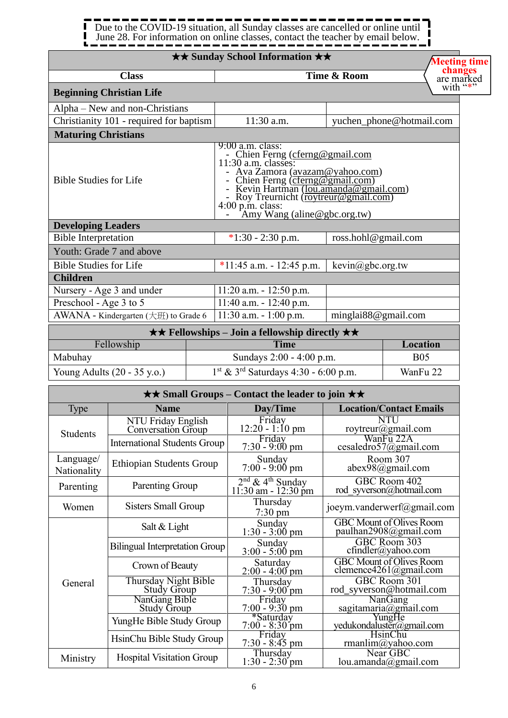#### . . . . ------. . . . . . Ĩ 1 Due to the COVID-19 situation, all Sunday classes are cancelled or online until  $\blacksquare$  $\mathbf{I}$ June 28. For information on online classes, contact the teacher by email below. J

|                                                  |                                                  | <b>★★ Sunday School Information ★★</b>                                                                                                                                                                                                                                                                      |                     | Meeting time                                                             |
|--------------------------------------------------|--------------------------------------------------|-------------------------------------------------------------------------------------------------------------------------------------------------------------------------------------------------------------------------------------------------------------------------------------------------------------|---------------------|--------------------------------------------------------------------------|
|                                                  | <b>Class</b>                                     |                                                                                                                                                                                                                                                                                                             | Time & Room         | changes<br>are marked                                                    |
|                                                  | <b>Beginning Christian Life</b>                  |                                                                                                                                                                                                                                                                                                             |                     | with "*"                                                                 |
|                                                  | Alpha – New and non-Christians                   |                                                                                                                                                                                                                                                                                                             |                     |                                                                          |
|                                                  | Christianity 101 - required for baptism          | 11:30 a.m.                                                                                                                                                                                                                                                                                                  |                     | yuchen_phone@hotmail.com                                                 |
| <b>Maturing Christians</b>                       |                                                  |                                                                                                                                                                                                                                                                                                             |                     |                                                                          |
| <b>Bible Studies for Life</b>                    |                                                  | $9:00$ a.m. class:<br>- Chien Ferng (cferng@gmail.com<br>11:30 a.m. classes:<br>- Ava Zamora (avazam@yahoo.com)<br>- Chien Ferng (cferng@gmail.com)<br>- Kevin Hartman ( <u>lou.amanda@gmail.com)</u><br>- Roy Treurnicht ( <u>roytreur@gmail.com)</u><br>4:00 p.m. class:<br>- Amy Wang (aline@gbc.org.tw) |                     |                                                                          |
| <b>Developing Leaders</b>                        |                                                  |                                                                                                                                                                                                                                                                                                             |                     |                                                                          |
| <b>Bible Interpretation</b>                      |                                                  | $*1:30 - 2:30$ p.m.                                                                                                                                                                                                                                                                                         | ross.hohl@gmail.com |                                                                          |
|                                                  | Youth: Grade 7 and above                         |                                                                                                                                                                                                                                                                                                             |                     |                                                                          |
| <b>Bible Studies for Life</b><br><b>Children</b> |                                                  | *11:45 a.m. - 12:45 p.m.                                                                                                                                                                                                                                                                                    | kevin@gbc.org.tw    |                                                                          |
|                                                  | Nursery - Age 3 and under                        | $11:20$ a.m. $-12:50$ p.m.                                                                                                                                                                                                                                                                                  |                     |                                                                          |
| Preschool - Age 3 to 5                           |                                                  | 11:40 a.m. $- 12:40$ p.m.                                                                                                                                                                                                                                                                                   |                     |                                                                          |
|                                                  | AWANA - Kindergarten $(\pm \text{H})$ to Grade 6 | 11:30 a.m. $-1:00$ p.m.                                                                                                                                                                                                                                                                                     | minglai88@gmail.com |                                                                          |
|                                                  |                                                  | $\star \star$ Fellowships – Join a fellowship directly $\star \star$                                                                                                                                                                                                                                        |                     |                                                                          |
|                                                  | Fellowship                                       | <b>Time</b>                                                                                                                                                                                                                                                                                                 |                     | <b>Location</b>                                                          |
| Mabuhay                                          |                                                  | Sundays 2:00 - 4:00 p.m.                                                                                                                                                                                                                                                                                    |                     | <b>B05</b>                                                               |
|                                                  | Young Adults (20 - 35 y.o.)                      | $1st$ & 3 <sup>rd</sup> Saturdays 4:30 - 6:00 p.m.                                                                                                                                                                                                                                                          |                     | WanFu 22                                                                 |
|                                                  |                                                  | <b>★★ Small Groups – Contact the leader to join ★★</b>                                                                                                                                                                                                                                                      |                     |                                                                          |
| <b>Type</b>                                      | <b>Name</b>                                      | Day/Time                                                                                                                                                                                                                                                                                                    |                     | <b>Location/Contact Emails</b>                                           |
|                                                  | NTU Friday English<br>Conversation Group         | Friday<br>12:20 - 1:10 pm                                                                                                                                                                                                                                                                                   |                     | <b>NTU</b><br>roytreur@gmail.com                                         |
| Students                                         | <b>International Students Group</b>              | Friday                                                                                                                                                                                                                                                                                                      |                     | WanFu 22A                                                                |
| Language/                                        |                                                  | $7:30 - 9:00 \text{ pm}$<br>Sunday                                                                                                                                                                                                                                                                          |                     | cesaledro57@gmail.com<br>Room 307                                        |
| Nationality                                      | <b>Ethiopian Students Group</b>                  | $7:00 - 9:00 \text{ pm}$                                                                                                                                                                                                                                                                                    |                     | $abex98$ @gmail.com                                                      |
| Parenting                                        | Parenting Group                                  | $2nd$ & 4 <sup>th</sup> Sunday<br>11:30 am - 12:30 pm                                                                                                                                                                                                                                                       |                     | GBC Room 402<br>rod syverson@hotmail.com                                 |
| Women                                            | <b>Sisters Small Group</b>                       | Thursday<br>$7:30$ pm                                                                                                                                                                                                                                                                                       |                     | joeym.vanderwerf@gmail.com                                               |
|                                                  | Salt & Light                                     | Sunday<br>$1:30 - 3:00$ pm                                                                                                                                                                                                                                                                                  |                     | <b>GBC</b> Mount of Olives Room<br>paulhan2908@gmail.com                 |
|                                                  | <b>Bilingual Interpretation Group</b>            | Sunday<br>$3:00 - 5:00 \text{ pm}$                                                                                                                                                                                                                                                                          |                     | GBC Room 303<br>$cfindler(a)$ yahoo.com                                  |
|                                                  | Crown of Beauty                                  | Saturday<br>$2:00 - 4:00$ pm                                                                                                                                                                                                                                                                                |                     | <b>GBC</b> Mount of Olives Room<br>clemence $4261$ ( <i>a</i> )gmail.com |
| General                                          | Thursday Night Bible<br><b>Study Group</b>       | Thursday<br>$7:30 - 9:00$ pm                                                                                                                                                                                                                                                                                |                     | GBC Room 301<br>rod syverson@hotmail.com                                 |
|                                                  | NanGang Bible<br>Study Group                     | Friday<br>$7:00 - 9:30$ pm                                                                                                                                                                                                                                                                                  |                     | <b>NanGang</b>                                                           |
|                                                  | YungHe Bible Study Group                         | *Saturday                                                                                                                                                                                                                                                                                                   |                     | sagitamaria@gmail.com                                                    |
|                                                  | HsinChu Bible Study Group                        | 7:00 - 8:30 pm<br>Friday<br>$7:30 - 8:45$ pm                                                                                                                                                                                                                                                                |                     | yedukondaluster@gmail.com<br><b>HsinChu</b><br>rmanlim@yahoo.com         |
| Ministry                                         | <b>Hospital Visitation Group</b>                 | Thursday<br>$1:30 - 2:30$ pm                                                                                                                                                                                                                                                                                |                     | Near GBC<br>lou.amanda@gmail.com                                         |